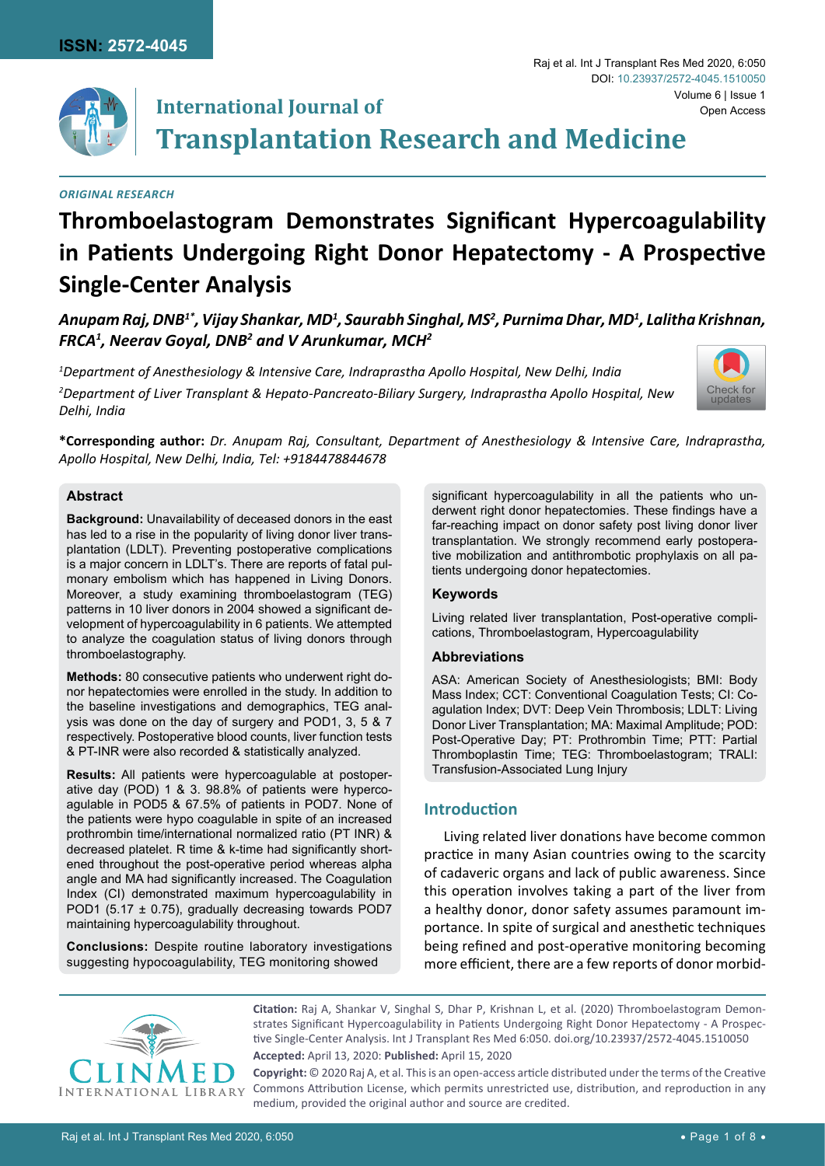

#### *Original Research*

# **Thromboelastogram Demonstrates Significant Hypercoagulability in Patients Undergoing Right Donor Hepatectomy - A Prospective Single-Center Analysis**

Anupam Raj, DNB<sup>1\*</sup>, Vijay Shankar, MD<sup>1</sup>, Saurabh Singhal, MS<sup>2</sup>, Purnima Dhar, MD<sup>1</sup>, Lalitha Krishnan, *FRCA1 , Neerav Goyal, DNB2 and V Arunkumar, MCH2*

*1 Department of Anesthesiology & Intensive Care, Indraprastha Apollo Hospital, New Delhi, India 2 Department of Liver Transplant & Hepato-Pancreato-Biliary Surgery, Indraprastha Apollo Hospital, New Delhi, India*



Open Access

Raj et al. Int J Transplant Res Med 2020, 6:050

DOI: [10.23937/2572-4045.1510050](https://doi.org/10.23937/2572-4045.1510050)

**\*Corresponding author:** *Dr. Anupam Raj, Consultant, Department of Anesthesiology & Intensive Care, Indraprastha, Apollo Hospital, New Delhi, India, Tel: +9184478844678*

#### **Abstract**

**Background:** Unavailability of deceased donors in the east has led to a rise in the popularity of living donor liver transplantation (LDLT). Preventing postoperative complications is a major concern in LDLT's. There are reports of fatal pulmonary embolism which has happened in Living Donors. Moreover, a study examining thromboelastogram (TEG) patterns in 10 liver donors in 2004 showed a significant development of hypercoagulability in 6 patients. We attempted to analyze the coagulation status of living donors through thromboelastography.

**Methods:** 80 consecutive patients who underwent right donor hepatectomies were enrolled in the study. In addition to the baseline investigations and demographics, TEG analysis was done on the day of surgery and POD1, 3, 5 & 7 respectively. Postoperative blood counts, liver function tests & PT-INR were also recorded & statistically analyzed.

**Results:** All patients were hypercoagulable at postoperative day (POD) 1 & 3. 98.8% of patients were hypercoagulable in POD5 & 67.5% of patients in POD7. None of the patients were hypo coagulable in spite of an increased prothrombin time/international normalized ratio (PT INR) & decreased platelet. R time & k-time had significantly shortened throughout the post-operative period whereas alpha angle and MA had significantly increased. The Coagulation Index (CI) demonstrated maximum hypercoagulability in POD1 (5.17 ± 0.75), gradually decreasing towards POD7 maintaining hypercoagulability throughout.

**Conclusions:** Despite routine laboratory investigations suggesting hypocoagulability, TEG monitoring showed

significant hypercoagulability in all the patients who underwent right donor hepatectomies. These findings have a far-reaching impact on donor safety post living donor liver transplantation. We strongly recommend early postoperative mobilization and antithrombotic prophylaxis on all patients undergoing donor hepatectomies.

#### **Keywords**

Living related liver transplantation, Post-operative complications, Thromboelastogram, Hypercoagulability

#### **Abbreviations**

ASA: American Society of Anesthesiologists; BMI: Body Mass Index; CCT: Conventional Coagulation Tests; CI: Coagulation Index; DVT: Deep Vein Thrombosis; LDLT: Living Donor Liver Transplantation; MA: Maximal Amplitude; POD: Post-Operative Day; PT: Prothrombin Time; PTT: Partial Thromboplastin Time; TEG: Thromboelastogram; TRALI: Transfusion-Associated Lung Injury

# **Introduction**

Living related liver donations have become common practice in many Asian countries owing to the scarcity of cadaveric organs and lack of public awareness. Since this operation involves taking a part of the liver from a healthy donor, donor safety assumes paramount importance. In spite of surgical and anesthetic techniques being refined and post-operative monitoring becoming more efficient, there are a few reports of donor morbid-



**Citation:** Raj A, Shankar V, Singhal S, Dhar P, Krishnan L, et al. (2020) Thromboelastogram Demonstrates Significant Hypercoagulability in Patients Undergoing Right Donor Hepatectomy - A Prospective Single-Center Analysis. Int J Transplant Res Med 6:050. [doi.org/10.23937/2572-4045.1510050](https://doi.org/10.23937/2572-4045.1510050)

**Accepted:** April 13, 2020: **Published:** April 15, 2020

**Copyright:** © 2020 Raj A, et al. This is an open-access article distributed under the terms of the Creative Commons Attribution License, which permits unrestricted use, distribution, and reproduction in any medium, provided the original author and source are credited.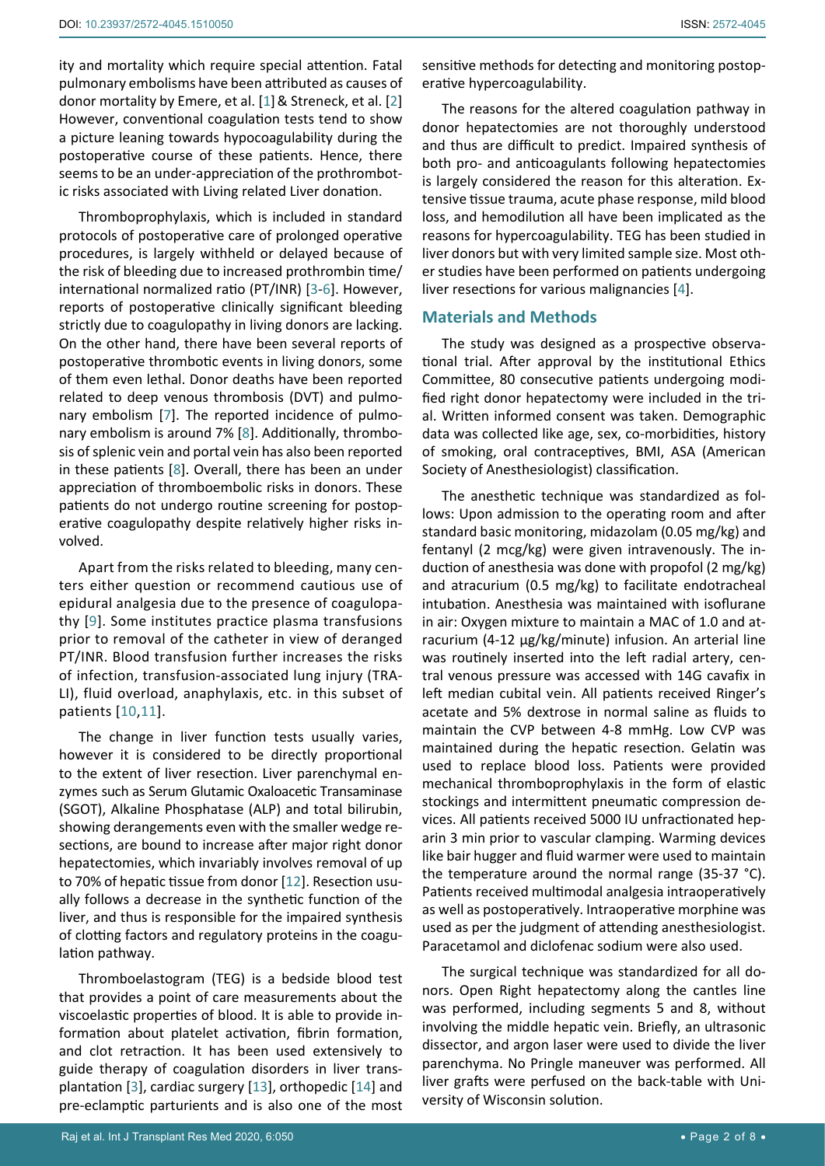ity and mortality which require special attention. Fatal pulmonary embolisms have been attributed as causes of donor mortality by Emere, et al. [[1](#page-7-1)] & Streneck, et al. [[2](#page-7-2)] However, conventional coagulation tests tend to show a picture leaning towards hypocoagulability during the postoperative course of these patients. Hence, there seems to be an under-appreciation of the prothrombotic risks associated with Living related Liver donation.

Thromboprophylaxis, which is included in standard protocols of postoperative care of prolonged operative procedures, is largely withheld or delayed because of the risk of bleeding due to increased prothrombin time/ international normalized ratio (PT/INR) [\[3](#page-7-3)-[6\]](#page-7-4). However, reports of postoperative clinically significant bleeding strictly due to coagulopathy in living donors are lacking. On the other hand, there have been several reports of postoperative thrombotic events in living donors, some of them even lethal. Donor deaths have been reported related to deep venous thrombosis (DVT) and pulmonary embolism [\[7\]](#page-7-5). The reported incidence of pulmonary embolism is around 7% [[8](#page-7-6)]. Additionally, thrombosis of splenic vein and portal vein has also been reported in these patients [\[8\]](#page-7-6). Overall, there has been an under appreciation of thromboembolic risks in donors. These patients do not undergo routine screening for postoperative coagulopathy despite relatively higher risks involved.

Apart from the risks related to bleeding, many centers either question or recommend cautious use of epidural analgesia due to the presence of coagulopathy [\[9](#page-7-7)]. Some institutes practice plasma transfusions prior to removal of the catheter in view of deranged PT/INR. Blood transfusion further increases the risks of infection, transfusion-associated lung injury (TRA-LI), fluid overload, anaphylaxis, etc. in this subset of patients [[10](#page-7-8),[11](#page-7-9)].

The change in liver function tests usually varies, however it is considered to be directly proportional to the extent of liver resection. Liver parenchymal enzymes such as Serum Glutamic Oxaloacetic Transaminase (SGOT), Alkaline Phosphatase (ALP) and total bilirubin, showing derangements even with the smaller wedge resections, are bound to increase after major right donor hepatectomies, which invariably involves removal of up to 70% of hepatic tissue from donor [\[12](#page-7-10)]. Resection usually follows a decrease in the synthetic function of the liver, and thus is responsible for the impaired synthesis of clotting factors and regulatory proteins in the coagulation pathway.

Thromboelastogram (TEG) is a bedside blood test that provides a point of care measurements about the viscoelastic properties of blood. It is able to provide information about platelet activation, fibrin formation, and clot retraction. It has been used extensively to guide therapy of coagulation disorders in liver transplantation [\[3\]](#page-7-3), cardiac surgery [\[13](#page-7-11)], orthopedic [[14\]](#page-7-12) and pre-eclamptic parturients and is also one of the most sensitive methods for detecting and monitoring postoperative hypercoagulability.

The reasons for the altered coagulation pathway in donor hepatectomies are not thoroughly understood and thus are difficult to predict. Impaired synthesis of both pro- and anticoagulants following hepatectomies is largely considered the reason for this alteration. Extensive tissue trauma, acute phase response, mild blood loss, and hemodilution all have been implicated as the reasons for hypercoagulability. TEG has been studied in liver donors but with very limited sample size. Most other studies have been performed on patients undergoing liver resections for various malignancies [\[4](#page-7-0)].

## **Materials and Methods**

The study was designed as a prospective observational trial. After approval by the institutional Ethics Committee, 80 consecutive patients undergoing modified right donor hepatectomy were included in the trial. Written informed consent was taken. Demographic data was collected like age, sex, co-morbidities, history of smoking, oral contraceptives, BMI, ASA (American Society of Anesthesiologist) classification.

The anesthetic technique was standardized as follows: Upon admission to the operating room and after standard basic monitoring, midazolam (0.05 mg/kg) and fentanyl (2 mcg/kg) were given intravenously. The induction of anesthesia was done with propofol (2 mg/kg) and atracurium (0.5 mg/kg) to facilitate endotracheal intubation. Anesthesia was maintained with isoflurane in air: Oxygen mixture to maintain a MAC of 1.0 and atracurium (4-12 µg/kg/minute) infusion. An arterial line was routinely inserted into the left radial artery, central venous pressure was accessed with 14G cavafix in left median cubital vein. All patients received Ringer's acetate and 5% dextrose in normal saline as fluids to maintain the CVP between 4-8 mmHg. Low CVP was maintained during the hepatic resection. Gelatin was used to replace blood loss. Patients were provided mechanical thromboprophylaxis in the form of elastic stockings and intermittent pneumatic compression devices. All patients received 5000 IU unfractionated heparin 3 min prior to vascular clamping. Warming devices like bair hugger and fluid warmer were used to maintain the temperature around the normal range (35-37 °C). Patients received multimodal analgesia intraoperatively as well as postoperatively. Intraoperative morphine was used as per the judgment of attending anesthesiologist. Paracetamol and diclofenac sodium were also used.

The surgical technique was standardized for all donors. Open Right hepatectomy along the cantles line was performed, including segments 5 and 8, without involving the middle hepatic vein. Briefly, an ultrasonic dissector, and argon laser were used to divide the liver parenchyma. No Pringle maneuver was performed. All liver grafts were perfused on the back-table with University of Wisconsin solution.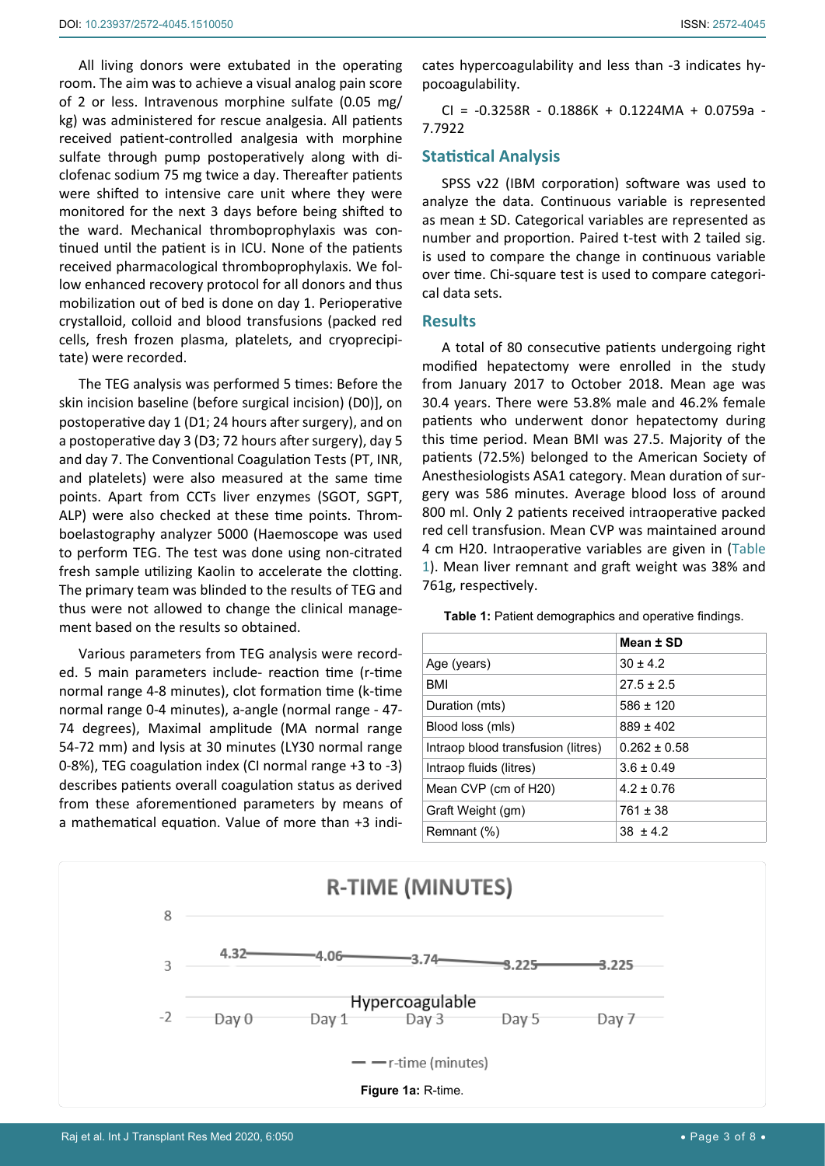All living donors were extubated in the operating room. The aim was to achieve a visual analog pain score of 2 or less. Intravenous morphine sulfate (0.05 mg/ kg) was administered for rescue analgesia. All patients received patient-controlled analgesia with morphine sulfate through pump postoperatively along with diclofenac sodium 75 mg twice a day. Thereafter patients were shifted to intensive care unit where they were monitored for the next 3 days before being shifted to the ward. Mechanical thromboprophylaxis was continued until the patient is in ICU. None of the patients received pharmacological thromboprophylaxis. We follow enhanced recovery protocol for all donors and thus mobilization out of bed is done on day 1. Perioperative crystalloid, colloid and blood transfusions (packed red cells, fresh frozen plasma, platelets, and cryoprecipitate) were recorded.

The TEG analysis was performed 5 times: Before the skin incision baseline (before surgical incision) (D0)], on postoperative day 1 (D1; 24 hours after surgery), and on a postoperative day 3 (D3; 72 hours after surgery), day 5 and day 7. The Conventional Coagulation Tests (PT, INR, and platelets) were also measured at the same time points. Apart from CCTs liver enzymes (SGOT, SGPT, ALP) were also checked at these time points. Thromboelastography analyzer 5000 (Haemoscope was used to perform TEG. The test was done using non-citrated fresh sample utilizing Kaolin to accelerate the clotting. The primary team was blinded to the results of TEG and thus were not allowed to change the clinical management based on the results so obtained.

Various parameters from TEG analysis were recorded. 5 main parameters include- reaction time (r-time normal range 4-8 minutes), clot formation time (k-time normal range 0-4 minutes), a-angle (normal range - 47- 74 degrees), Maximal amplitude (MA normal range 54-72 mm) and lysis at 30 minutes (LY30 normal range 0-8%), TEG coagulation index (CI normal range +3 to -3) describes patients overall coagulation status as derived from these aforementioned parameters by means of a mathematical equation. Value of more than +3 indi-

cates hypercoagulability and less than -3 indicates hypocoagulability.

CI = -0.3258R - 0.1886K + 0.1224MA + 0.0759a - 7.7922

# **Statistical Analysis**

SPSS v22 (IBM corporation) software was used to analyze the data. Continuous variable is represented as mean ± SD. Categorical variables are represented as number and proportion. Paired t-test with 2 tailed sig. is used to compare the change in continuous variable over time. Chi-square test is used to compare categorical data sets.

## **Results**

A total of 80 consecutive patients undergoing right modified hepatectomy were enrolled in the study from January 2017 to October 2018. Mean age was 30.4 years. There were 53.8% male and 46.2% female patients who underwent donor hepatectomy during this time period. Mean BMI was 27.5. Majority of the patients (72.5%) belonged to the American Society of Anesthesiologists ASA1 category. Mean duration of surgery was 586 minutes. Average blood loss of around 800 ml. Only 2 patients received intraoperative packed red cell transfusion. Mean CVP was maintained around 4 cm H20. Intraoperative variables are given in ([Table](#page-2-0)  [1](#page-2-0)). Mean liver remnant and graft weight was 38% and 761g, respectively.

<span id="page-2-0"></span>**Table 1:** Patient demographics and operative findings.

|                                    | Mean ± SD      |
|------------------------------------|----------------|
| Age (years)                        | $30 + 4.2$     |
| <b>BMI</b>                         | $27.5 \pm 2.5$ |
| Duration (mts)                     | $586 \pm 120$  |
| Blood loss (mls)                   | $889 + 402$    |
| Intraop blood transfusion (litres) | $0.262 + 0.58$ |
| Intraop fluids (litres)            | $3.6 + 0.49$   |
| Mean CVP (cm of H20)               | $4.2 \pm 0.76$ |
| Graft Weight (gm)                  | 761 + 38       |
| Remnant (%)                        | $38 + 42$      |

<span id="page-2-1"></span>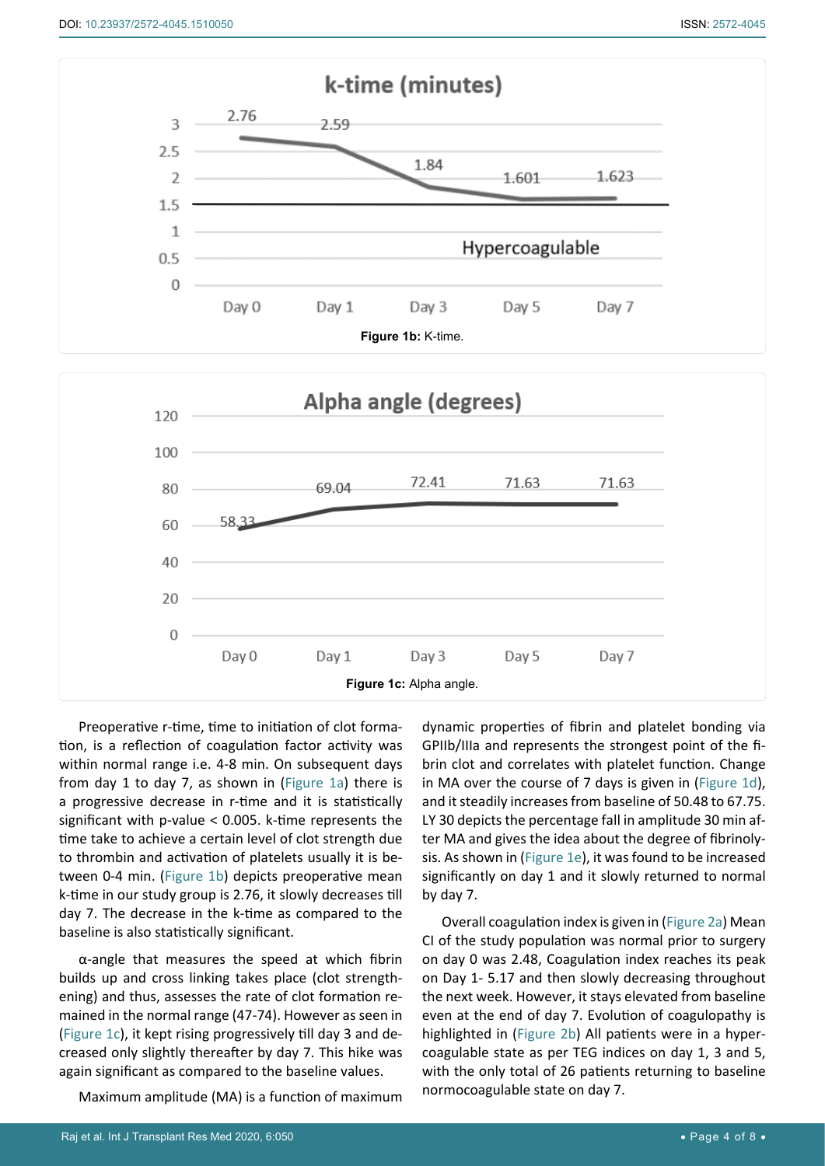<span id="page-3-1"></span><span id="page-3-0"></span>

Preoperative r-time, time to initiation of clot formation, is a reflection of coagulation factor activity was within normal range i.e. 4-8 min. On subsequent days from day 1 to day 7, as shown in ([Figure 1a](#page-2-1)) there is a progressive decrease in r-time and it is statistically significant with p-value < 0.005. k-time represents the time take to achieve a certain level of clot strength due to thrombin and activation of platelets usually it is between 0-4 min. ([Figure 1b\)](#page-3-0) depicts preoperative mean k-time in our study group is 2.76, it slowly decreases till day 7. The decrease in the k-time as compared to the baseline is also statistically significant.

α-angle that measures the speed at which fibrin builds up and cross linking takes place (clot strengthening) and thus, assesses the rate of clot formation remained in the normal range (47-74). However as seen in ([Figure 1c\)](#page-3-1), it kept rising progressively till day 3 and decreased only slightly thereafter by day 7. This hike was again significant as compared to the baseline values.

Maximum amplitude (MA) is a function of maximum

dynamic properties of fibrin and platelet bonding via GPIIb/IIIa and represents the strongest point of the fibrin clot and correlates with platelet function. Change in MA over the course of 7 days is given in [\(Figure 1d](#page-4-0)), and it steadily increases from baseline of 50.48 to 67.75. LY 30 depicts the percentage fall in amplitude 30 min after MA and gives the idea about the degree of fibrinolysis. As shown in ([Figure 1e\)](#page-4-1), it was found to be increased significantly on day 1 and it slowly returned to normal by day 7.

Overall coagulation index is given in [\(Figure 2a\)](#page-4-2) Mean CI of the study population was normal prior to surgery on day 0 was 2.48, Coagulation index reaches its peak on Day 1- 5.17 and then slowly decreasing throughout the next week. However, it stays elevated from baseline even at the end of day 7. Evolution of coagulopathy is highlighted in [\(Figure 2b\)](#page-5-0) All patients were in a hypercoagulable state as per TEG indices on day 1, 3 and 5, with the only total of 26 patients returning to baseline normocoagulable state on day 7.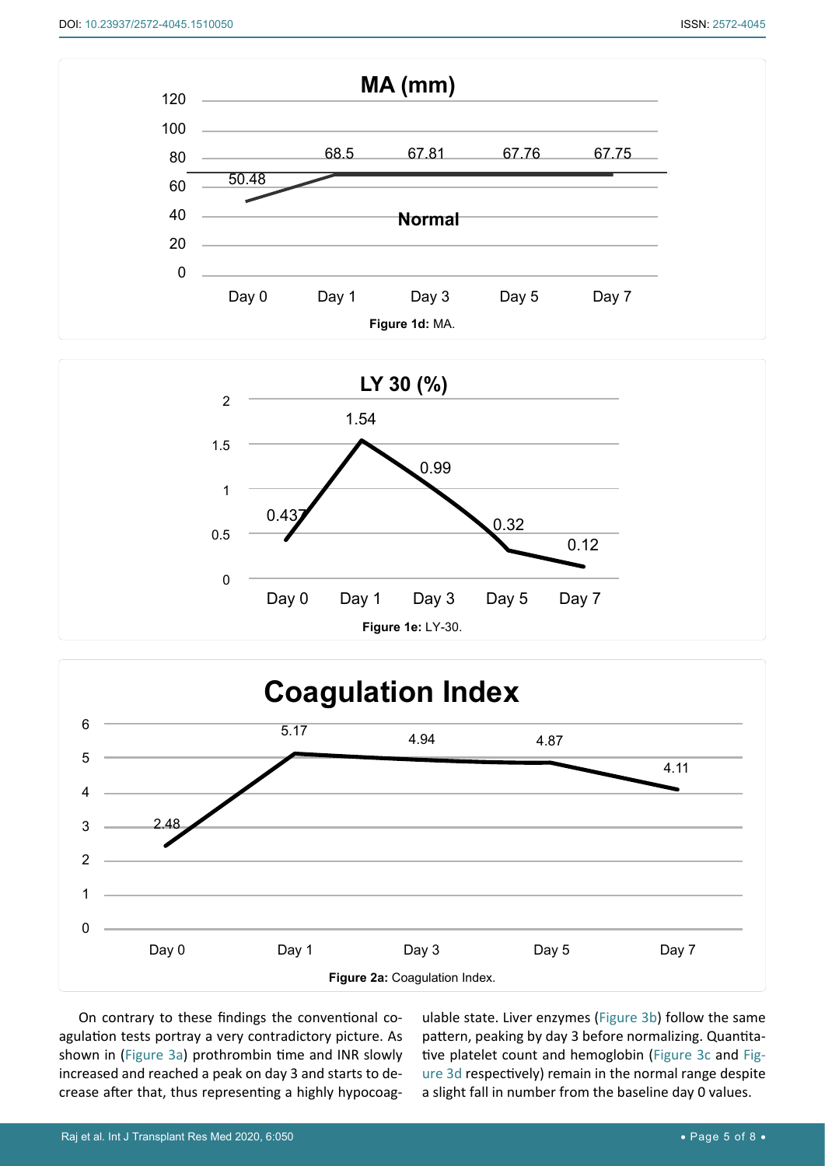<span id="page-4-0"></span>

<span id="page-4-1"></span>

<span id="page-4-2"></span>

On contrary to these findings the conventional coagulation tests portray a very contradictory picture. As shown in [\(Figure 3a](#page-5-2)) prothrombin time and INR slowly increased and reached a peak on day 3 and starts to decrease after that, thus representing a highly hypocoagulable state. Liver enzymes [\(Figure 3b](#page-5-1)) follow the same pattern, peaking by day 3 before normalizing. Quantitative platelet count and hemoglobin ([Figure 3c](#page-6-0) and [Fig](#page-6-1)[ure 3d](#page-6-1) respectively) remain in the normal range despite a slight fall in number from the baseline day 0 values.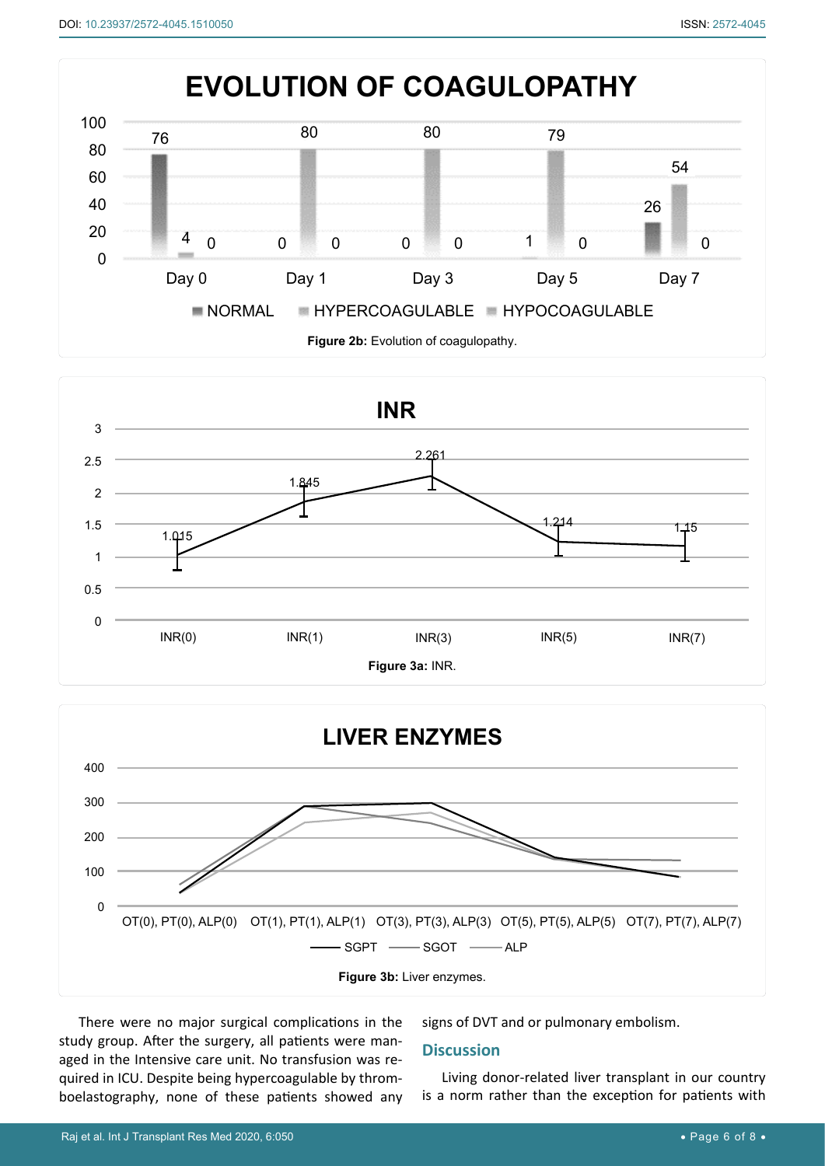<span id="page-5-0"></span>

<span id="page-5-2"></span>

<span id="page-5-1"></span>

There were no major surgical complications in the study group. After the surgery, all patients were managed in the Intensive care unit. No transfusion was required in ICU. Despite being hypercoagulable by thromboelastography, none of these patients showed any signs of DVT and or pulmonary embolism.

## **Discussion**

Living donor-related liver transplant in our country is a norm rather than the exception for patients with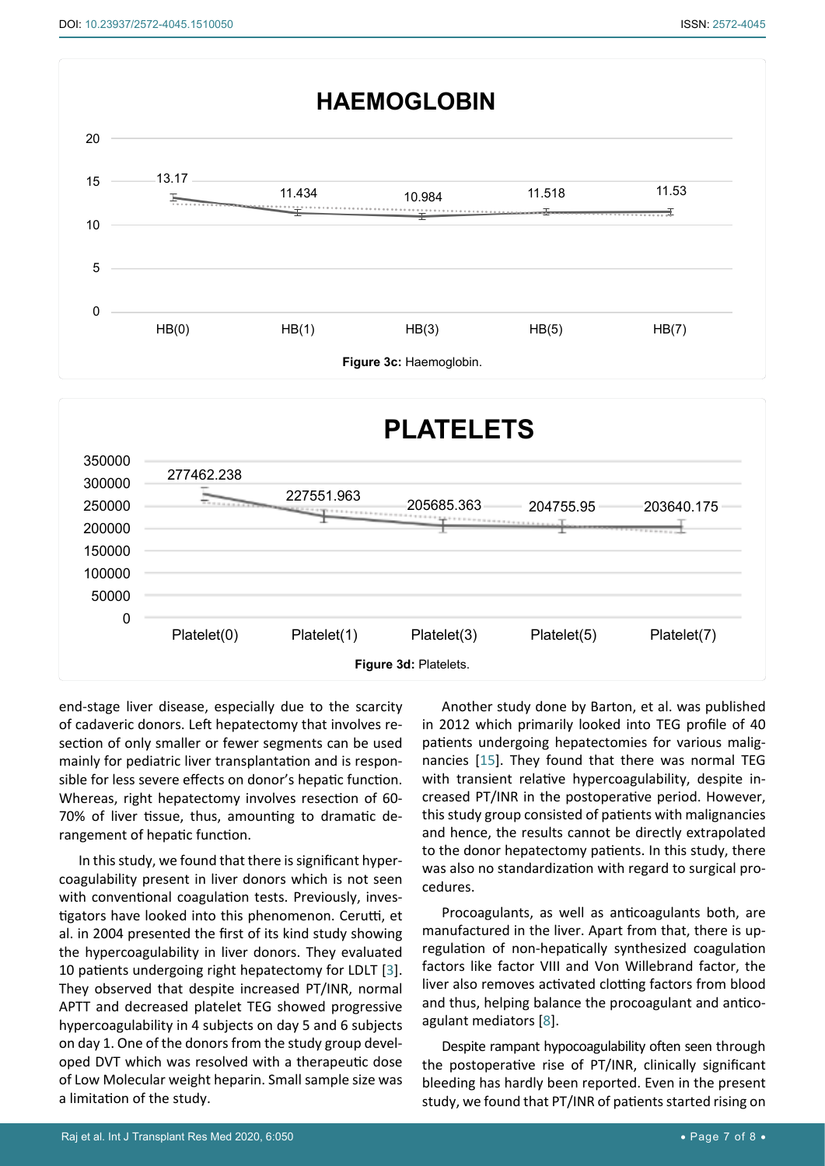<span id="page-6-0"></span>

<span id="page-6-1"></span>

end-stage liver disease, especially due to the scarcity of cadaveric donors. Left hepatectomy that involves resection of only smaller or fewer segments can be used mainly for pediatric liver transplantation and is responsible for less severe effects on donor's hepatic function. Whereas, right hepatectomy involves resection of 60- 70% of liver tissue, thus, amounting to dramatic derangement of hepatic function.

In this study, we found that there is significant hypercoagulability present in liver donors which is not seen with conventional coagulation tests. Previously, investigators have looked into this phenomenon. Cerutti, et al. in 2004 presented the first of its kind study showing the hypercoagulability in liver donors. They evaluated 10 patients undergoing right hepatectomy for LDLT [[3](#page-7-3)]. They observed that despite increased PT/INR, normal APTT and decreased platelet TEG showed progressive hypercoagulability in 4 subjects on day 5 and 6 subjects on day 1. One of the donors from the study group developed DVT which was resolved with a therapeutic dose of Low Molecular weight heparin. Small sample size was a limitation of the study.

Another study done by Barton, et al. was published in 2012 which primarily looked into TEG profile of 40 patients undergoing hepatectomies for various malignancies [\[15](#page-7-13)]. They found that there was normal TEG with transient relative hypercoagulability, despite increased PT/INR in the postoperative period. However, this study group consisted of patients with malignancies and hence, the results cannot be directly extrapolated to the donor hepatectomy patients. In this study, there was also no standardization with regard to surgical procedures.

Procoagulants, as well as anticoagulants both, are manufactured in the liver. Apart from that, there is upregulation of non-hepatically synthesized coagulation factors like factor VIII and Von Willebrand factor, the liver also removes activated clotting factors from blood and thus, helping balance the procoagulant and anticoagulant mediators [\[8](#page-7-6)].

Despite rampant hypocoagulability often seen through the postoperative rise of PT/INR, clinically significant bleeding has hardly been reported. Even in the present study, we found that PT/INR of patients started rising on